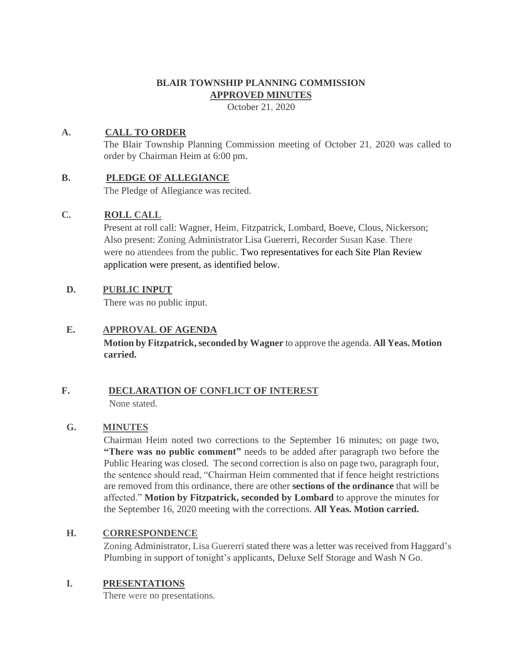# **BLAIR TOWNSHIP PLANNING COMMISSION APPROVED MINUTES**

October 21, 2020

# **A. CALL TO ORDER**

The Blair Township Planning Commission meeting of October 21, 2020 was called to order by Chairman Heim at 6:00 pm.

## **B. PLEDGE OF ALLEGIANCE**

The Pledge of Allegiance was recited.

## **C. ROLL CALL**

Present at roll call: Wagner, Heim, Fitzpatrick, Lombard, Boeve, Clous, Nickerson; Also present: Zoning Administrator Lisa Guererri, Recorder Susan Kase. There were no attendees from the public. Two representatives for each Site Plan Review application were present, as identified below.

## **D. PUBLIC INPUT**

There was no public input.

## **E. APPROVAL OF AGENDA**

**Motion by Fitzpatrick, seconded by Wagner** to approve the agenda. **All Yeas. Motion carried.**

#### **F. DECLARATION OF CONFLICT OF INTEREST** None stated.

## **G. MINUTES**

Chairman Heim noted two corrections to the September 16 minutes; on page two, **"There was no public comment"** needs to be added after paragraph two before the Public Hearing was closed. The second correction is also on page two, paragraph four, the sentence should read, "Chairman Heim commented that if fence height restrictions are removed from this ordinance, there are other **sections of the ordinance** that will be affected." **Motion by Fitzpatrick, seconded by Lombard** to approve the minutes for the September 16, 2020 meeting with the corrections. **All Yeas. Motion carried.**

## **H. CORRESPONDENCE**

Zoning Administrator, Lisa Guererri stated there was a letter was received from Haggard's Plumbing in support of tonight's applicants, Deluxe Self Storage and Wash N Go.

## **I. PRESENTATIONS**

There were no presentations.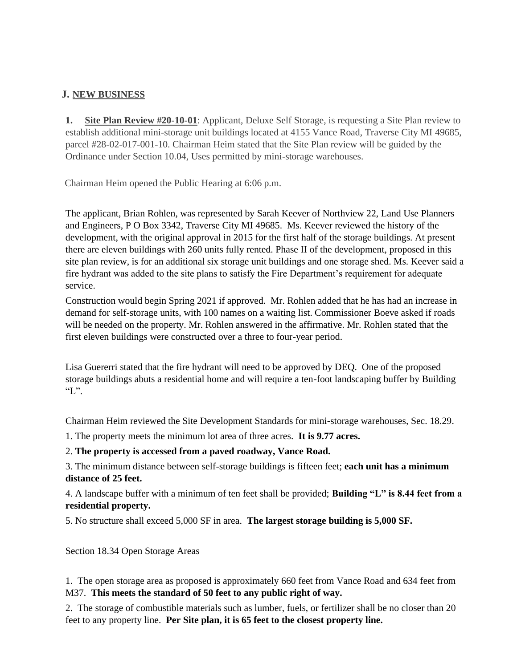# **J. NEW BUSINESS**

**1. Site Plan Review #20-10-01**: Applicant, Deluxe Self Storage, is requesting a Site Plan review to establish additional mini-storage unit buildings located at 4155 Vance Road, Traverse City MI 49685, parcel #28-02-017-001-10. Chairman Heim stated that the Site Plan review will be guided by the Ordinance under Section 10.04, Uses permitted by mini-storage warehouses.

Chairman Heim opened the Public Hearing at 6:06 p.m.

The applicant, Brian Rohlen, was represented by Sarah Keever of Northview 22, Land Use Planners and Engineers, P O Box 3342, Traverse City MI 49685. Ms. Keever reviewed the history of the development, with the original approval in 2015 for the first half of the storage buildings. At present there are eleven buildings with 260 units fully rented. Phase II of the development, proposed in this site plan review, is for an additional six storage unit buildings and one storage shed. Ms. Keever said a fire hydrant was added to the site plans to satisfy the Fire Department's requirement for adequate service.

Construction would begin Spring 2021 if approved. Mr. Rohlen added that he has had an increase in demand for self-storage units, with 100 names on a waiting list. Commissioner Boeve asked if roads will be needed on the property. Mr. Rohlen answered in the affirmative. Mr. Rohlen stated that the first eleven buildings were constructed over a three to four-year period.

Lisa Guererri stated that the fire hydrant will need to be approved by DEQ. One of the proposed storage buildings abuts a residential home and will require a ten-foot landscaping buffer by Building  $\mathcal{L}$ ".

Chairman Heim reviewed the Site Development Standards for mini-storage warehouses, Sec. 18.29.

1. The property meets the minimum lot area of three acres. **It is 9.77 acres.**

2. **The property is accessed from a paved roadway, Vance Road.**

3. The minimum distance between self-storage buildings is fifteen feet; **each unit has a minimum distance of 25 feet.**

4. A landscape buffer with a minimum of ten feet shall be provided; **Building "L" is 8.44 feet from a residential property.** 

5. No structure shall exceed 5,000 SF in area. **The largest storage building is 5,000 SF.**

Section 18.34 Open Storage Areas

1. The open storage area as proposed is approximately 660 feet from Vance Road and 634 feet from M37. **This meets the standard of 50 feet to any public right of way.**

2. The storage of combustible materials such as lumber, fuels, or fertilizer shall be no closer than 20 feet to any property line. **Per Site plan, it is 65 feet to the closest property line.**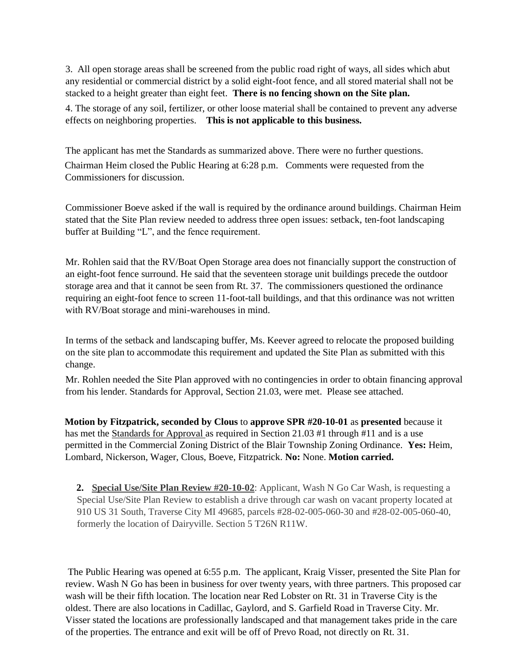3. All open storage areas shall be screened from the public road right of ways, all sides which abut any residential or commercial district by a solid eight-foot fence, and all stored material shall not be stacked to a height greater than eight feet. **There is no fencing shown on the Site plan.**

4. The storage of any soil, fertilizer, or other loose material shall be contained to prevent any adverse effects on neighboring properties. **This is not applicable to this business.** 

The applicant has met the Standards as summarized above. There were no further questions. Chairman Heim closed the Public Hearing at 6:28 p.m. Comments were requested from the Commissioners for discussion.

Commissioner Boeve asked if the wall is required by the ordinance around buildings. Chairman Heim stated that the Site Plan review needed to address three open issues: setback, ten-foot landscaping buffer at Building "L", and the fence requirement.

Mr. Rohlen said that the RV/Boat Open Storage area does not financially support the construction of an eight-foot fence surround. He said that the seventeen storage unit buildings precede the outdoor storage area and that it cannot be seen from Rt. 37. The commissioners questioned the ordinance requiring an eight-foot fence to screen 11-foot-tall buildings, and that this ordinance was not written with RV/Boat storage and mini-warehouses in mind.

In terms of the setback and landscaping buffer, Ms. Keever agreed to relocate the proposed building on the site plan to accommodate this requirement and updated the Site Plan as submitted with this change.

Mr. Rohlen needed the Site Plan approved with no contingencies in order to obtain financing approval from his lender. Standards for Approval, Section 21.03, were met. Please see attached.

**Motion by Fitzpatrick, seconded by Clous** to **approve SPR #20-10-01** as **presented** because it has met the Standards for Approval as required in Section 21.03 #1 through #11 and is a use permitted in the Commercial Zoning District of the Blair Township Zoning Ordinance. **Yes:** Heim, Lombard, Nickerson, Wager, Clous, Boeve, Fitzpatrick. **No:** None. **Motion carried.** 

**2. Special Use/Site Plan Review #20-10-02**: Applicant, Wash N Go Car Wash, is requesting a Special Use/Site Plan Review to establish a drive through car wash on vacant property located at 910 US 31 South, Traverse City MI 49685, parcels #28-02-005-060-30 and #28-02-005-060-40, formerly the location of Dairyville. Section 5 T26N R11W.

The Public Hearing was opened at 6:55 p.m. The applicant, Kraig Visser, presented the Site Plan for review. Wash N Go has been in business for over twenty years, with three partners. This proposed car wash will be their fifth location. The location near Red Lobster on Rt. 31 in Traverse City is the oldest. There are also locations in Cadillac, Gaylord, and S. Garfield Road in Traverse City. Mr. Visser stated the locations are professionally landscaped and that management takes pride in the care of the properties. The entrance and exit will be off of Prevo Road, not directly on Rt. 31.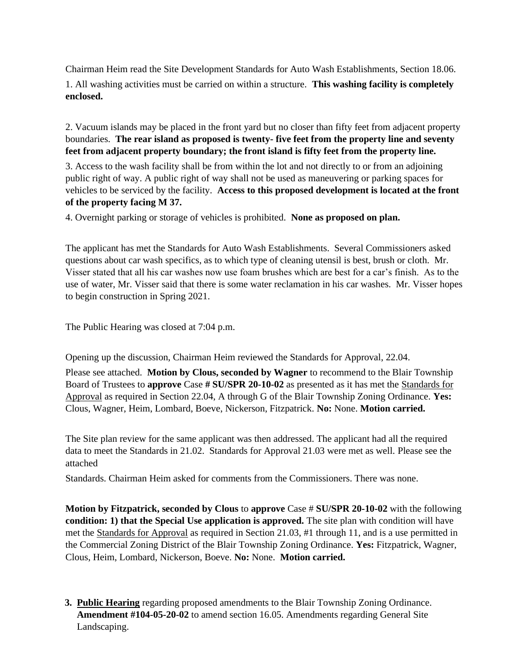Chairman Heim read the Site Development Standards for Auto Wash Establishments, Section 18.06. 1. All washing activities must be carried on within a structure. **This washing facility is completely enclosed.** 

2. Vacuum islands may be placed in the front yard but no closer than fifty feet from adjacent property boundaries. **The rear island as proposed is twenty- five feet from the property line and seventy feet from adjacent property boundary; the front island is fifty feet from the property line.** 

3. Access to the wash facility shall be from within the lot and not directly to or from an adjoining public right of way. A public right of way shall not be used as maneuvering or parking spaces for vehicles to be serviced by the facility. **Access to this proposed development is located at the front of the property facing M 37.**

4. Overnight parking or storage of vehicles is prohibited. **None as proposed on plan.**

The applicant has met the Standards for Auto Wash Establishments. Several Commissioners asked questions about car wash specifics, as to which type of cleaning utensil is best, brush or cloth. Mr. Visser stated that all his car washes now use foam brushes which are best for a car's finish. As to the use of water, Mr. Visser said that there is some water reclamation in his car washes. Mr. Visser hopes to begin construction in Spring 2021.

The Public Hearing was closed at 7:04 p.m.

Opening up the discussion, Chairman Heim reviewed the Standards for Approval, 22.04.

Please see attached. **Motion by Clous, seconded by Wagner** to recommend to the Blair Township Board of Trustees to **approve** Case **# SU/SPR 20-10-02** as presented as it has met the Standards for Approval as required in Section 22.04, A through G of the Blair Township Zoning Ordinance. **Yes:**  Clous, Wagner, Heim, Lombard, Boeve, Nickerson, Fitzpatrick. **No:** None. **Motion carried.** 

The Site plan review for the same applicant was then addressed. The applicant had all the required data to meet the Standards in 21.02. Standards for Approval 21.03 were met as well. Please see the attached

Standards. Chairman Heim asked for comments from the Commissioners. There was none.

**Motion by Fitzpatrick, seconded by Clous** to **approve** Case # **SU/SPR 20-10-02** with the following **condition: 1) that the Special Use application is approved.** The site plan with condition will have met the Standards for Approval as required in Section 21.03, #1 through 11, and is a use permitted in the Commercial Zoning District of the Blair Township Zoning Ordinance. **Yes:** Fitzpatrick, Wagner, Clous, Heim, Lombard, Nickerson, Boeve. **No:** None. **Motion carried.** 

**3. Public Hearing** regarding proposed amendments to the Blair Township Zoning Ordinance. **Amendment #104-05-20-02** to amend section 16.05. Amendments regarding General Site Landscaping.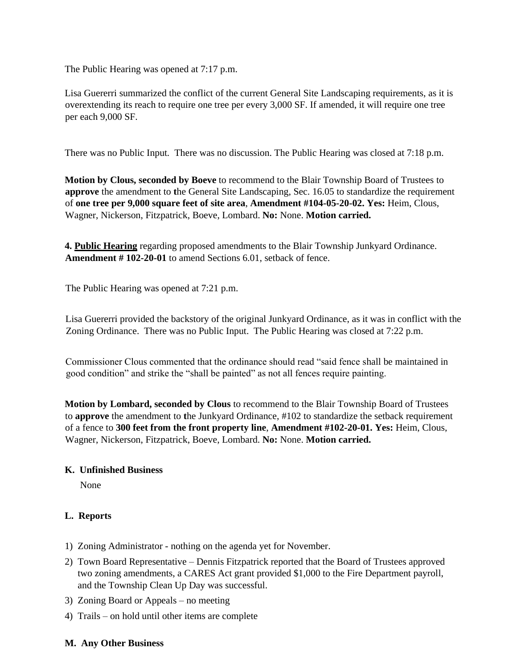The Public Hearing was opened at 7:17 p.m.

Lisa Guererri summarized the conflict of the current General Site Landscaping requirements, as it is overextending its reach to require one tree per every 3,000 SF. If amended, it will require one tree per each 9,000 SF.

There was no Public Input. There was no discussion. The Public Hearing was closed at 7:18 p.m.

**Motion by Clous, seconded by Boeve** to recommend to the Blair Township Board of Trustees to **approve** the amendment to **t**he General Site Landscaping, Sec. 16.05 to standardize the requirement of **one tree per 9,000 square feet of site area**, **Amendment #104-05-20-02. Yes:** Heim, Clous, Wagner, Nickerson, Fitzpatrick, Boeve, Lombard. **No:** None. **Motion carried.**

**4. Public Hearing** regarding proposed amendments to the Blair Township Junkyard Ordinance. **Amendment # 102-20-01** to amend Sections 6.01, setback of fence.

The Public Hearing was opened at 7:21 p.m.

Lisa Guererri provided the backstory of the original Junkyard Ordinance, as it was in conflict with the Zoning Ordinance. There was no Public Input. The Public Hearing was closed at 7:22 p.m.

Commissioner Clous commented that the ordinance should read "said fence shall be maintained in good condition" and strike the "shall be painted" as not all fences require painting.

**Motion by Lombard, seconded by Clous** to recommend to the Blair Township Board of Trustees to **approve** the amendment to **t**he Junkyard Ordinance, #102 to standardize the setback requirement of a fence to **300 feet from the front property line**, **Amendment #102-20-01. Yes:** Heim, Clous, Wagner, Nickerson, Fitzpatrick, Boeve, Lombard. **No:** None. **Motion carried.**

#### **K. Unfinished Business**

None

## **L. Reports**

- 1) Zoning Administrator nothing on the agenda yet for November.
- 2) Town Board Representative Dennis Fitzpatrick reported that the Board of Trustees approved two zoning amendments, a CARES Act grant provided \$1,000 to the Fire Department payroll, and the Township Clean Up Day was successful.
- 3) Zoning Board or Appeals no meeting
- 4) Trails on hold until other items are complete

#### **M. Any Other Business**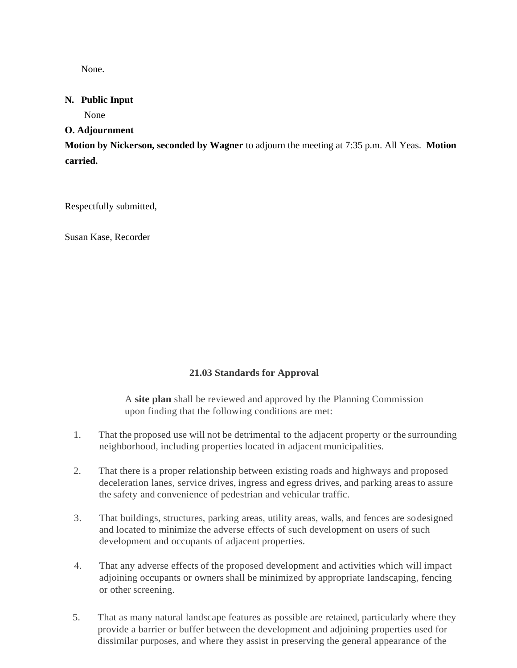None.

## **N. Public Input**

None

## **O. Adjournment**

**Motion by Nickerson, seconded by Wagner** to adjourn the meeting at 7:35 p.m. All Yeas. **Motion carried.** 

Respectfully submitted,

Susan Kase, Recorder

# **21.03 Standards for Approval**

A **site plan** shall be reviewed and approved by the Planning Commission upon finding that the following conditions are met:

- 1. That the proposed use will not be detrimental to the adjacent property or the surrounding neighborhood, including properties located in adjacent municipalities.
- 2. That there is a proper relationship between existing roads and highways and proposed deceleration lanes, service drives, ingress and egress drives, and parking areas to assure the safety and convenience of pedestrian and vehicular traffic.
- 3. That buildings, structures, parking areas, utility areas, walls, and fences are sodesigned and located to minimize the adverse effects of such development on users of such development and occupants of adjacent properties.
- 4. That any adverse effects of the proposed development and activities which will impact adjoining occupants or owners shall be minimized by appropriate landscaping, fencing or other screening.
- 5. That as many natural landscape features as possible are retained, particularly where they provide a barrier or buffer between the development and adjoining properties used for dissimilar purposes, and where they assist in preserving the general appearance of the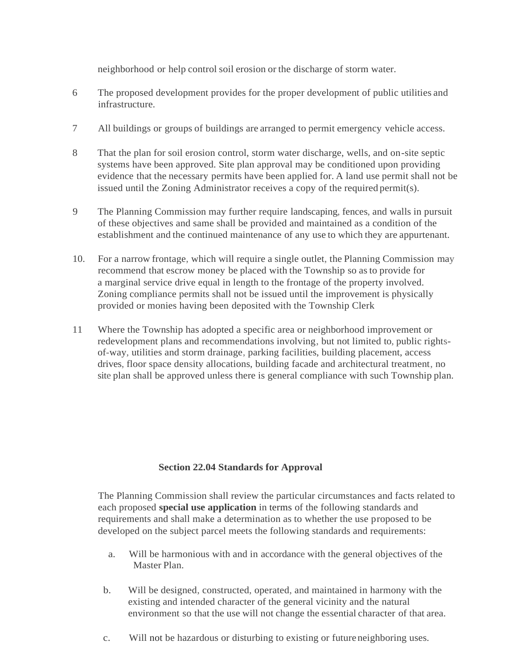neighborhood or help control soil erosion or the discharge of storm water.

- 6 The proposed development provides for the proper development of public utilities and infrastructure.
- 7 All buildings or groups of buildings are arranged to permit emergency vehicle access.
- 8 That the plan for soil erosion control, storm water discharge, wells, and on-site septic systems have been approved. Site plan approval may be conditioned upon providing evidence that the necessary permits have been applied for. A land use permit shall not be issued until the Zoning Administrator receives a copy of the required permit(s).
- 9 The Planning Commission may further require landscaping, fences, and walls in pursuit of these objectives and same shall be provided and maintained as a condition of the establishment and the continued maintenance of any use to which they are appurtenant.
- 10. For a narrow frontage, which will require a single outlet, the Planning Commission may recommend that escrow money be placed with the Township so asto provide for a marginal service drive equal in length to the frontage of the property involved. Zoning compliance permits shall not be issued until the improvement is physically provided or monies having been deposited with the Township Clerk
- 11 Where the Township has adopted a specific area or neighborhood improvement or redevelopment plans and recommendations involving, but not limited to, public rightsof-way, utilities and storm drainage, parking facilities, building placement, access drives, floor space density allocations, building facade and architectural treatment, no site plan shall be approved unless there is general compliance with such Township plan.

## **Section 22.04 Standards for Approval**

The Planning Commission shall review the particular circumstances and facts related to each proposed **special use application** in terms of the following standards and requirements and shall make a determination as to whether the use proposed to be developed on the subject parcel meets the following standards and requirements:

- a. Will be harmonious with and in accordance with the general objectives of the Master Plan.
- b. Will be designed, constructed, operated, and maintained in harmony with the existing and intended character of the general vicinity and the natural environment so that the use will not change the essential character of that area.
- c. Will not be hazardous or disturbing to existing or future neighboring uses.